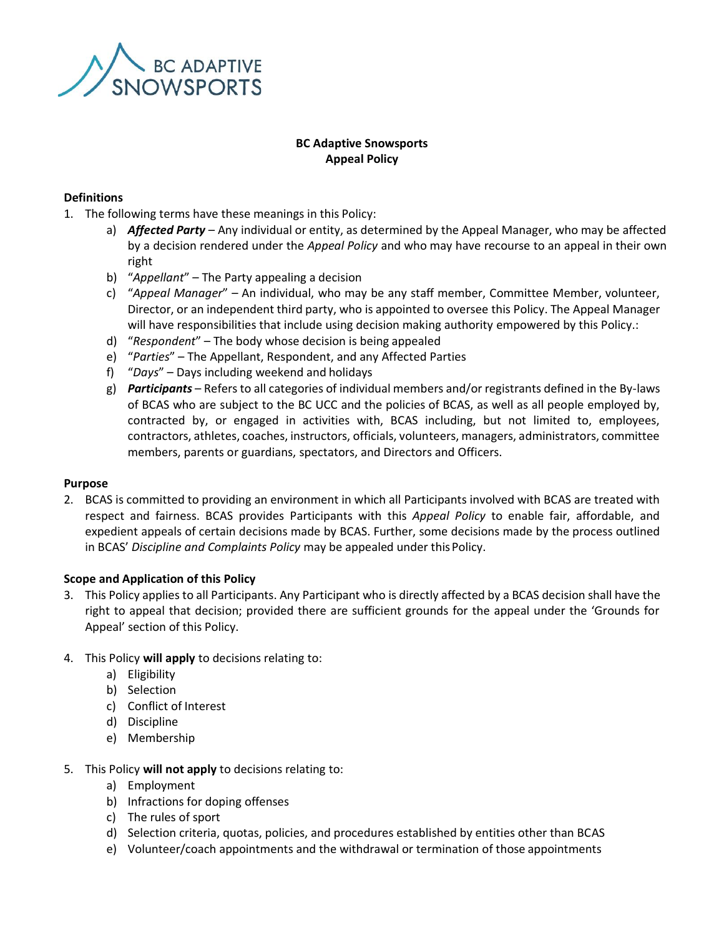

# **BC Adaptive Snowsports Appeal Policy**

## **Definitions**

- 1. The following terms have these meanings in this Policy:
	- a) *Affected Party* Any individual or entity, as determined by the Appeal Manager, who may be affected by a decision rendered under the *Appeal Policy* and who may have recourse to an appeal in their own right
	- b) "*Appellant*" The Party appealing a decision
	- c) "*Appeal Manager*" An individual, who may be any staff member, Committee Member, volunteer, Director, or an independent third party, who is appointed to oversee this Policy. The Appeal Manager will have responsibilities that include using decision making authority empowered by this Policy.:
	- d) "*Respondent*" The body whose decision is being appealed
	- e) "*Parties*" The Appellant, Respondent, and any Affected Parties
	- f) "*Days*" Days including weekend and holidays
	- g) *Participants* Refers to all categories of individual members and/or registrants defined in the By-laws of BCAS who are subject to the BC UCC and the policies of BCAS, as well as all people employed by, contracted by, or engaged in activities with, BCAS including, but not limited to, employees, contractors, athletes, coaches, instructors, officials, volunteers, managers, administrators, committee members, parents or guardians, spectators, and Directors and Officers.

#### **Purpose**

2. BCAS is committed to providing an environment in which all Participants involved with BCAS are treated with respect and fairness. BCAS provides Participants with this *Appeal Policy* to enable fair, affordable, and expedient appeals of certain decisions made by BCAS. Further, some decisions made by the process outlined in BCAS' *Discipline and Complaints Policy* may be appealed under thisPolicy.

#### **Scope and Application of this Policy**

- 3. This Policy applies to all Participants. Any Participant who is directly affected by a BCAS decision shall have the right to appeal that decision; provided there are sufficient grounds for the appeal under the 'Grounds for Appeal' section of this Policy.
- 4. This Policy **will apply** to decisions relating to:
	- a) Eligibility
	- b) Selection
	- c) Conflict of Interest
	- d) Discipline
	- e) Membership
- 5. This Policy **will not apply** to decisions relating to:
	- a) Employment
	- b) Infractions for doping offenses
	- c) The rules of sport
	- d) Selection criteria, quotas, policies, and procedures established by entities other than BCAS
	- e) Volunteer/coach appointments and the withdrawal or termination of those appointments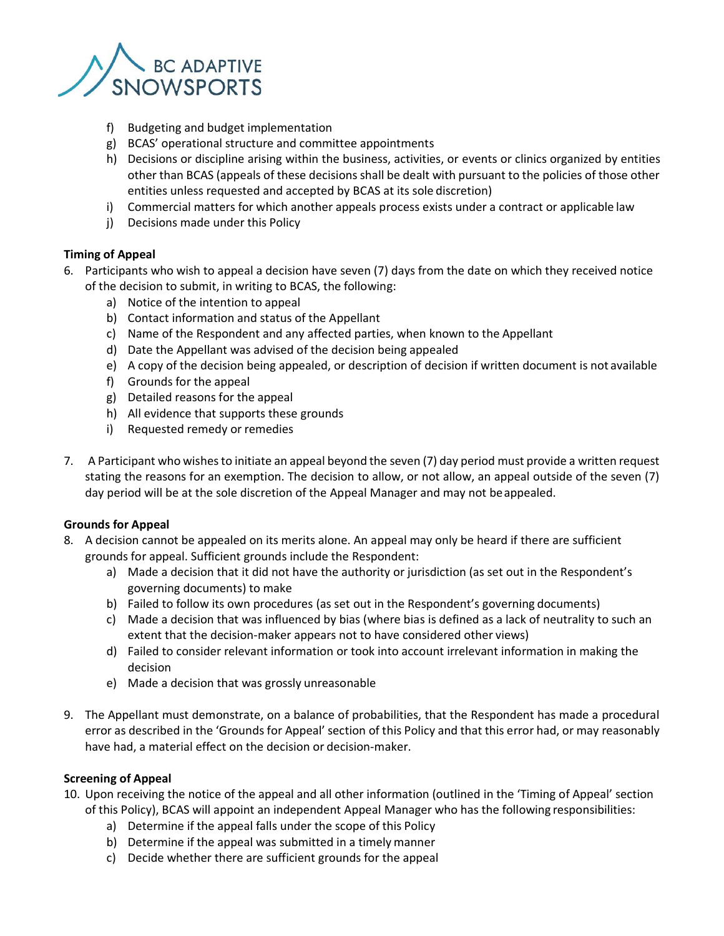

- f) Budgeting and budget implementation
- g) BCAS' operational structure and committee appointments
- h) Decisions or discipline arising within the business, activities, or events or clinics organized by entities other than BCAS (appeals of these decisions shall be dealt with pursuant to the policies of those other entities unless requested and accepted by BCAS at its sole discretion)
- i) Commercial matters for which another appeals process exists under a contract or applicable law
- j) Decisions made under this Policy

# **Timing of Appeal**

- 6. Participants who wish to appeal a decision have seven (7) days from the date on which they received notice of the decision to submit, in writing to BCAS, the following:
	- a) Notice of the intention to appeal
	- b) Contact information and status of the Appellant
	- c) Name of the Respondent and any affected parties, when known to the Appellant
	- d) Date the Appellant was advised of the decision being appealed
	- e) A copy of the decision being appealed, or description of decision if written document is not available
	- f) Grounds for the appeal
	- g) Detailed reasons for the appeal
	- h) All evidence that supports these grounds
	- i) Requested remedy or remedies
- 7. A Participant who wishes to initiate an appeal beyond the seven (7) day period must provide a written request stating the reasons for an exemption. The decision to allow, or not allow, an appeal outside of the seven (7) day period will be at the sole discretion of the Appeal Manager and may not beappealed.

## **Grounds for Appeal**

- 8. A decision cannot be appealed on its merits alone. An appeal may only be heard if there are sufficient grounds for appeal. Sufficient grounds include the Respondent:
	- a) Made a decision that it did not have the authority or jurisdiction (as set out in the Respondent's governing documents) to make
	- b) Failed to follow its own procedures (as set out in the Respondent's governing documents)
	- c) Made a decision that was influenced by bias (where bias is defined as a lack of neutrality to such an extent that the decision-maker appears not to have considered other views)
	- d) Failed to consider relevant information or took into account irrelevant information in making the decision
	- e) Made a decision that was grossly unreasonable
- 9. The Appellant must demonstrate, on a balance of probabilities, that the Respondent has made a procedural error as described in the 'Grounds for Appeal' section of this Policy and that this error had, or may reasonably have had, a material effect on the decision or decision-maker.

## **Screening of Appeal**

- 10. Upon receiving the notice of the appeal and all other information (outlined in the 'Timing of Appeal' section of this Policy), BCAS will appoint an independent Appeal Manager who has the following responsibilities:
	- a) Determine if the appeal falls under the scope of this Policy
	- b) Determine if the appeal was submitted in a timely manner
	- c) Decide whether there are sufficient grounds for the appeal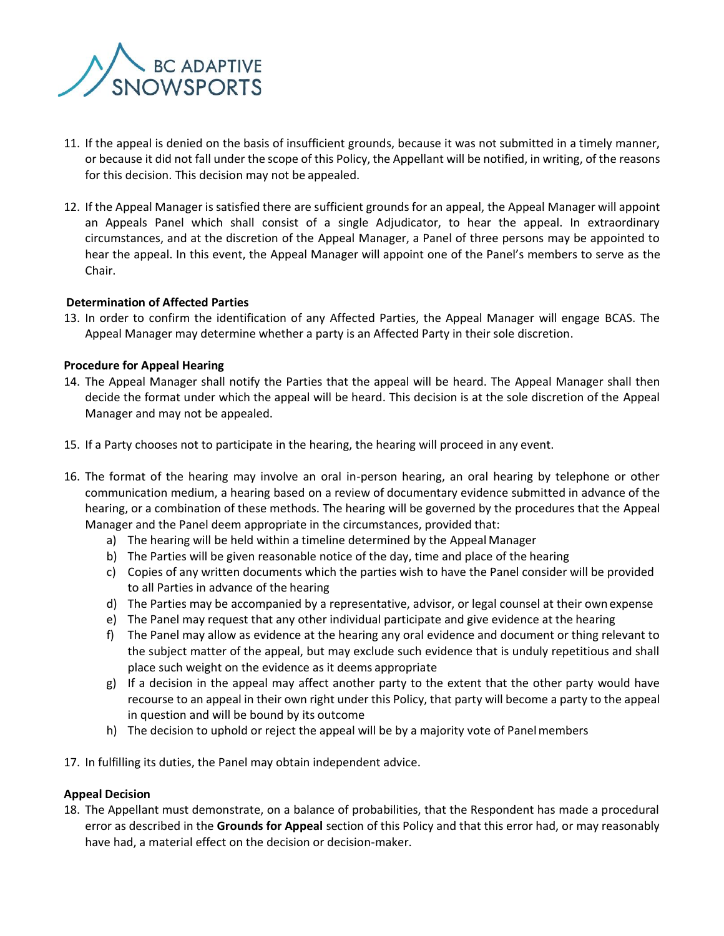

- 11. If the appeal is denied on the basis of insufficient grounds, because it was not submitted in a timely manner, or because it did not fall under the scope of this Policy, the Appellant will be notified, in writing, of the reasons for this decision. This decision may not be appealed.
- 12. If the Appeal Manager is satisfied there are sufficient grounds for an appeal, the Appeal Manager will appoint an Appeals Panel which shall consist of a single Adjudicator, to hear the appeal. In extraordinary circumstances, and at the discretion of the Appeal Manager, a Panel of three persons may be appointed to hear the appeal. In this event, the Appeal Manager will appoint one of the Panel's members to serve as the Chair.

### **Determination of Affected Parties**

13. In order to confirm the identification of any Affected Parties, the Appeal Manager will engage BCAS. The Appeal Manager may determine whether a party is an Affected Party in their sole discretion.

### **Procedure for Appeal Hearing**

- 14. The Appeal Manager shall notify the Parties that the appeal will be heard. The Appeal Manager shall then decide the format under which the appeal will be heard. This decision is at the sole discretion of the Appeal Manager and may not be appealed.
- 15. If a Party chooses not to participate in the hearing, the hearing will proceed in any event.
- 16. The format of the hearing may involve an oral in-person hearing, an oral hearing by telephone or other communication medium, a hearing based on a review of documentary evidence submitted in advance of the hearing, or a combination of these methods. The hearing will be governed by the procedures that the Appeal Manager and the Panel deem appropriate in the circumstances, provided that:
	- a) The hearing will be held within a timeline determined by the Appeal Manager
	- b) The Parties will be given reasonable notice of the day, time and place of the hearing
	- c) Copies of any written documents which the parties wish to have the Panel consider will be provided to all Parties in advance of the hearing
	- d) The Parties may be accompanied by a representative, advisor, or legal counsel at their own expense
	- e) The Panel may request that any other individual participate and give evidence at the hearing
	- f) The Panel may allow as evidence at the hearing any oral evidence and document or thing relevant to the subject matter of the appeal, but may exclude such evidence that is unduly repetitious and shall place such weight on the evidence as it deems appropriate
	- g) If a decision in the appeal may affect another party to the extent that the other party would have recourse to an appeal in their own right under this Policy, that party will become a party to the appeal in question and will be bound by its outcome
	- h) The decision to uphold or reject the appeal will be by a majority vote of Panelmembers
- 17. In fulfilling its duties, the Panel may obtain independent advice.

## **Appeal Decision**

18. The Appellant must demonstrate, on a balance of probabilities, that the Respondent has made a procedural error as described in the **Grounds for Appeal** section of this Policy and that this error had, or may reasonably have had, a material effect on the decision or decision-maker.